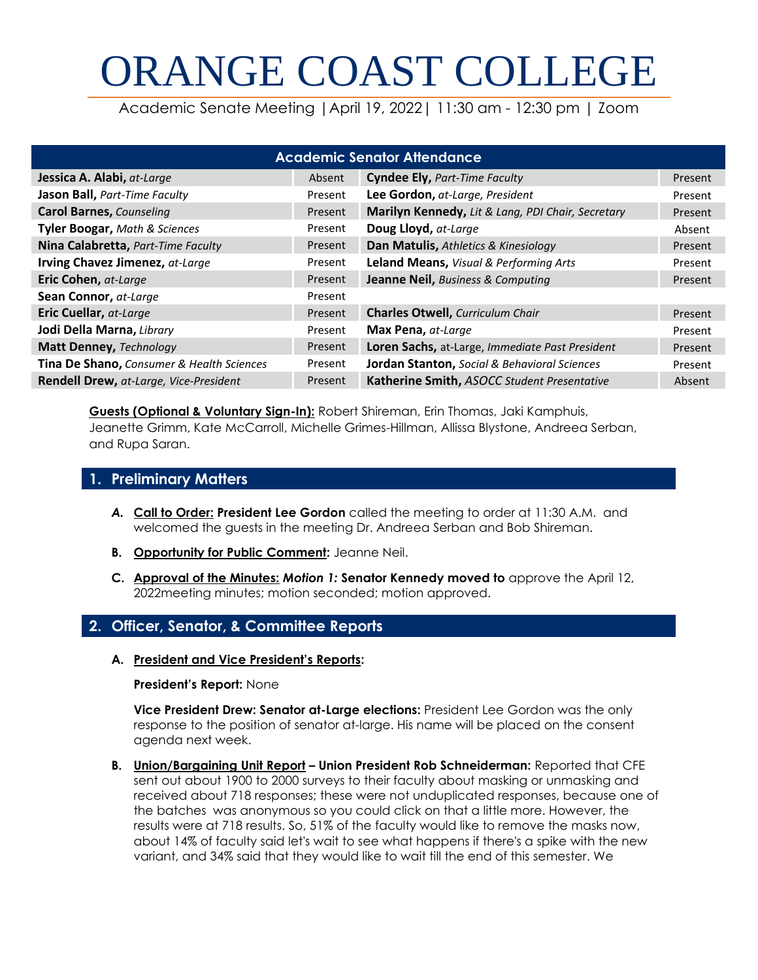# ORANGE COAST COLLEGE

Academic Senate Meeting |April 19, 2022| 11:30 am - 12:30 pm | Zoom

| <b>Academic Senator Attendance</b>        |         |                                                   |         |
|-------------------------------------------|---------|---------------------------------------------------|---------|
| Jessica A. Alabi, at-Large                | Absent  | <b>Cyndee Ely, Part-Time Faculty</b>              | Present |
| Jason Ball, Part-Time Faculty             | Present | Lee Gordon, at-Large, President                   | Present |
| <b>Carol Barnes, Counseling</b>           | Present | Marilyn Kennedy, Lit & Lang, PDI Chair, Secretary | Present |
| <b>Tyler Boogar, Math &amp; Sciences</b>  | Present | Doug Lloyd, at-Large                              | Absent  |
| Nina Calabretta, Part-Time Faculty        | Present | Dan Matulis, Athletics & Kinesiology              | Present |
| Irving Chavez Jimenez, at-Large           | Present | Leland Means, Visual & Performing Arts            | Present |
| Eric Cohen, at-Large                      | Present | Jeanne Neil, Business & Computing                 | Present |
| Sean Connor, at-Large                     | Present |                                                   |         |
| Eric Cuellar, at-Large                    | Present | <b>Charles Otwell, Curriculum Chair</b>           | Present |
| Jodi Della Marna, Library                 | Present | Max Pena, at-Large                                | Present |
| <b>Matt Denney, Technology</b>            | Present | Loren Sachs, at-Large, Immediate Past President   | Present |
| Tina De Shano, Consumer & Health Sciences | Present | Jordan Stanton, Social & Behavioral Sciences      | Present |
| Rendell Drew, at-Large, Vice-President    | Present | Katherine Smith, ASOCC Student Presentative       | Absent  |

**Guests (Optional & Voluntary Sign-In):** Robert Shireman, Erin Thomas, Jaki Kamphuis, Jeanette Grimm, Kate McCarroll, Michelle Grimes-Hillman, Allissa Blystone, Andreea Serban, and Rupa Saran.

## **1. Preliminary Matters**

- *A.* **Call to Order: President Lee Gordon** called the meeting to order at 11:30 A.M. and welcomed the guests in the meeting Dr. Andreea Serban and Bob Shireman.
- **B. Opportunity for Public Comment:** Jeanne Neil.
- **C. Approval of the Minutes:** *Motion 1:* **Senator Kennedy moved to** approve the April 12, 2022meeting minutes; motion seconded; motion approved.

# **2. Officer, Senator, & Committee Reports**

#### **A. President and Vice President's Reports:**

#### **President's Report:** None

**Vice President Drew: Senator at-Large elections:** President Lee Gordon was the only response to the position of senator at-large. His name will be placed on the consent agenda next week.

**B. Union/Bargaining Unit Report – Union President Rob Schneiderman:** Reported that CFE sent out about 1900 to 2000 surveys to their faculty about masking or unmasking and received about 718 responses; these were not unduplicated responses, because one of the batches was anonymous so you could click on that a little more. However, the results were at 718 results. So, 51% of the faculty would like to remove the masks now, about 14% of faculty said let's wait to see what happens if there's a spike with the new variant, and 34% said that they would like to wait till the end of this semester. We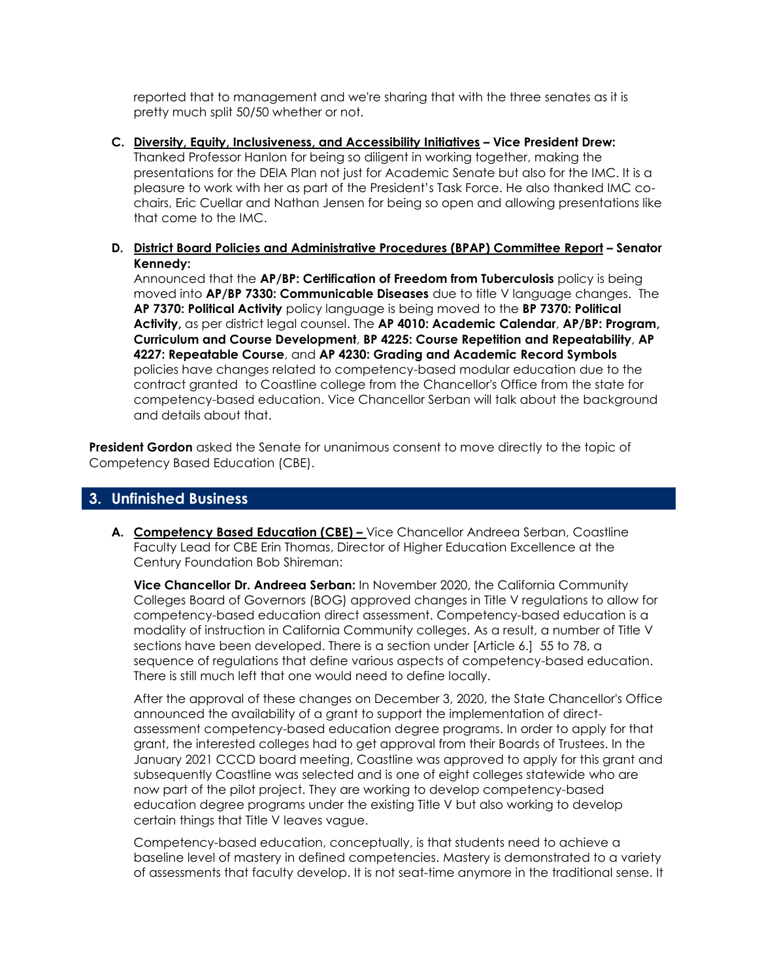reported that to management and we're sharing that with the three senates as it is pretty much split 50/50 whether or not.

- **C. Diversity, Equity, Inclusiveness, and Accessibility Initiatives – Vice President Drew:**  Thanked Professor Hanlon for being so diligent in working together, making the presentations for the DEIA Plan not just for Academic Senate but also for the IMC. It is a pleasure to work with her as part of the President's Task Force. He also thanked IMC cochairs, Eric Cuellar and Nathan Jensen for being so open and allowing presentations like that come to the IMC.
- **D. District Board Policies and Administrative Procedures (BPAP) Committee Report – Senator Kennedy:**

Announced that the **AP/BP: Certification of Freedom from Tuberculosis** policy is being moved into **AP/BP 7330: Communicable Diseases** due to title V language changes. The **AP 7370: Political Activity** policy language is being moved to the **BP 7370: Political Activity,** as per district legal counsel. The **AP 4010: Academic Calendar**, **AP/BP: Program, Curriculum and Course Development**, **BP 4225: Course Repetition and Repeatability**, **AP 4227: Repeatable Course**, and **AP 4230: Grading and Academic Record Symbols** policies have changes related to competency-based modular education due to the contract granted to Coastline college from the Chancellor's Office from the state for competency-based education. Vice Chancellor Serban will talk about the background and details about that.

**President Gordon** asked the Senate for unanimous consent to move directly to the topic of Competency Based Education (CBE).

## **3. Unfinished Business**

**A. Competency Based Education (CBE) –** Vice Chancellor Andreea Serban, Coastline Faculty Lead for CBE Erin Thomas, Director of Higher Education Excellence at the Century Foundation Bob Shireman:

**Vice Chancellor Dr. Andreea Serban:** In November 2020, the California Community Colleges Board of Governors (BOG) approved changes in Title V regulations to allow for competency-based education direct assessment. Competency-based education is a modality of instruction in California Community colleges. As a result, a number of Title V sections have been developed. There is a section under [Article 6.] 55 to 78, a sequence of regulations that define various aspects of competency-based education. There is still much left that one would need to define locally.

After the approval of these changes on December 3, 2020, the State Chancellor's Office announced the availability of a grant to support the implementation of directassessment competency-based education degree programs. In order to apply for that grant, the interested colleges had to get approval from their Boards of Trustees. In the January 2021 CCCD board meeting, Coastline was approved to apply for this grant and subsequently Coastline was selected and is one of eight colleges statewide who are now part of the pilot project. They are working to develop competency-based education degree programs under the existing Title V but also working to develop certain things that Title V leaves vague.

Competency-based education, conceptually, is that students need to achieve a baseline level of mastery in defined competencies. Mastery is demonstrated to a variety of assessments that faculty develop. It is not seat-time anymore in the traditional sense. It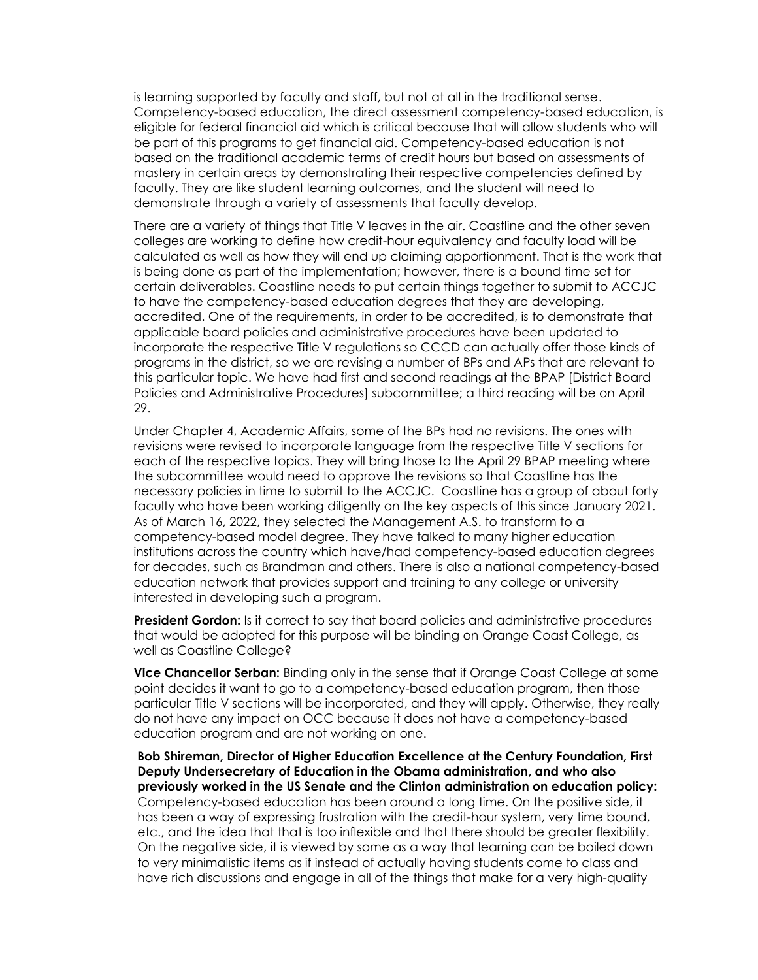is learning supported by faculty and staff, but not at all in the traditional sense. Competency-based education, the direct assessment competency-based education, is eligible for federal financial aid which is critical because that will allow students who will be part of this programs to get financial aid. Competency-based education is not based on the traditional academic terms of credit hours but based on assessments of mastery in certain areas by demonstrating their respective competencies defined by faculty. They are like student learning outcomes, and the student will need to demonstrate through a variety of assessments that faculty develop.

There are a variety of things that Title V leaves in the air. Coastline and the other seven colleges are working to define how credit-hour equivalency and faculty load will be calculated as well as how they will end up claiming apportionment. That is the work that is being done as part of the implementation; however, there is a bound time set for certain deliverables. Coastline needs to put certain things together to submit to ACCJC to have the competency-based education degrees that they are developing, accredited. One of the requirements, in order to be accredited, is to demonstrate that applicable board policies and administrative procedures have been updated to incorporate the respective Title V regulations so CCCD can actually offer those kinds of programs in the district, so we are revising a number of BPs and APs that are relevant to this particular topic. We have had first and second readings at the BPAP [District Board Policies and Administrative Procedures] subcommittee; a third reading will be on April 29.

Under Chapter 4, Academic Affairs, some of the BPs had no revisions. The ones with revisions were revised to incorporate language from the respective Title V sections for each of the respective topics. They will bring those to the April 29 BPAP meeting where the subcommittee would need to approve the revisions so that Coastline has the necessary policies in time to submit to the ACCJC. Coastline has a group of about forty faculty who have been working diligently on the key aspects of this since January 2021. As of March 16, 2022, they selected the Management A.S. to transform to a competency-based model degree. They have talked to many higher education institutions across the country which have/had competency-based education degrees for decades, such as Brandman and others. There is also a national competency-based education network that provides support and training to any college or university interested in developing such a program.

**President Gordon:** Is it correct to say that board policies and administrative procedures that would be adopted for this purpose will be binding on Orange Coast College, as well as Coastline College?

**Vice Chancellor Serban:** Binding only in the sense that if Orange Coast College at some point decides it want to go to a competency-based education program, then those particular Title V sections will be incorporated, and they will apply. Otherwise, they really do not have any impact on OCC because it does not have a competency-based education program and are not working on one.

**Bob Shireman, Director of Higher Education Excellence at the Century Foundation, First Deputy Undersecretary of Education in the Obama administration, and who also previously worked in the US Senate and the Clinton administration on education policy:**  Competency-based education has been around a long time. On the positive side, it has been a way of expressing frustration with the credit-hour system, very time bound, etc., and the idea that that is too inflexible and that there should be greater flexibility. On the negative side, it is viewed by some as a way that learning can be boiled down to very minimalistic items as if instead of actually having students come to class and have rich discussions and engage in all of the things that make for a very high-quality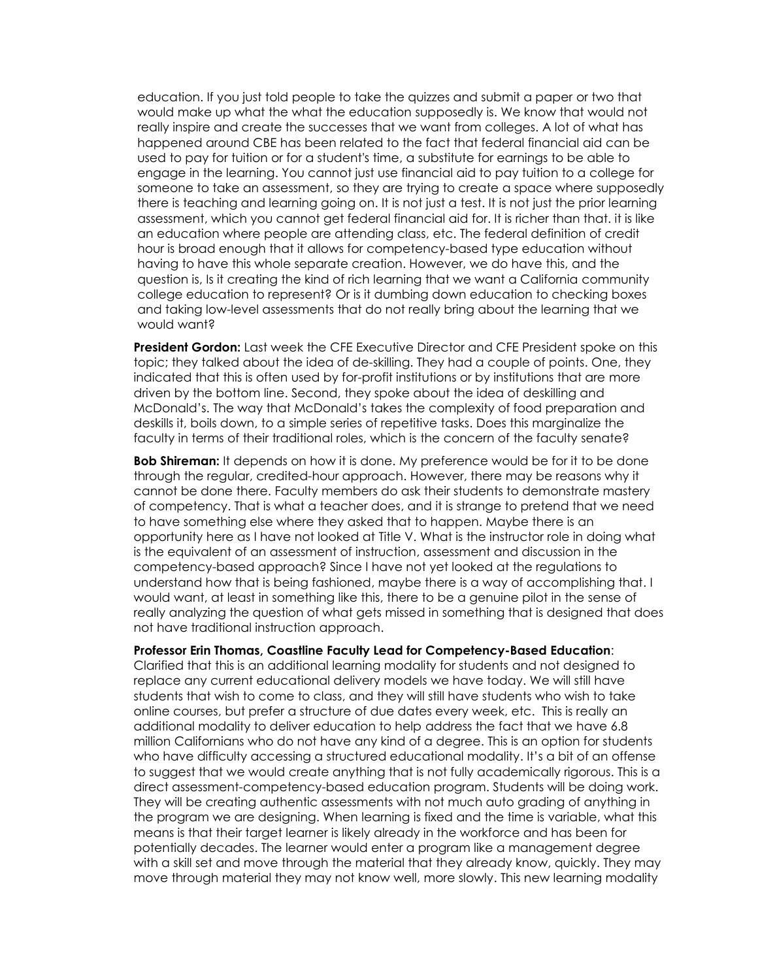education. If you just told people to take the quizzes and submit a paper or two that would make up what the what the education supposedly is. We know that would not really inspire and create the successes that we want from colleges. A lot of what has happened around CBE has been related to the fact that federal financial aid can be used to pay for tuition or for a student's time, a substitute for earnings to be able to engage in the learning. You cannot just use financial aid to pay tuition to a college for someone to take an assessment, so they are trying to create a space where supposedly there is teaching and learning going on. It is not just a test. It is not just the prior learning assessment, which you cannot get federal financial aid for. It is richer than that. it is like an education where people are attending class, etc. The federal definition of credit hour is broad enough that it allows for competency-based type education without having to have this whole separate creation. However, we do have this, and the question is, Is it creating the kind of rich learning that we want a California community college education to represent? Or is it dumbing down education to checking boxes and taking low-level assessments that do not really bring about the learning that we would want?

**President Gordon:** Last week the CFE Executive Director and CFE President spoke on this topic; they talked about the idea of de-skilling. They had a couple of points. One, they indicated that this is often used by for-profit institutions or by institutions that are more driven by the bottom line. Second, they spoke about the idea of deskilling and McDonald's. The way that McDonald's takes the complexity of food preparation and deskills it, boils down, to a simple series of repetitive tasks. Does this marginalize the faculty in terms of their traditional roles, which is the concern of the faculty senate?

**Bob Shireman:** It depends on how it is done. My preference would be for it to be done through the regular, credited-hour approach. However, there may be reasons why it cannot be done there. Faculty members do ask their students to demonstrate mastery of competency. That is what a teacher does, and it is strange to pretend that we need to have something else where they asked that to happen. Maybe there is an opportunity here as I have not looked at Title V. What is the instructor role in doing what is the equivalent of an assessment of instruction, assessment and discussion in the competency-based approach? Since I have not yet looked at the regulations to understand how that is being fashioned, maybe there is a way of accomplishing that. I would want, at least in something like this, there to be a genuine pilot in the sense of really analyzing the question of what gets missed in something that is designed that does not have traditional instruction approach.

#### **Professor Erin Thomas, Coastline Faculty Lead for Competency-Based Education**:

Clarified that this is an additional learning modality for students and not designed to replace any current educational delivery models we have today. We will still have students that wish to come to class, and they will still have students who wish to take online courses, but prefer a structure of due dates every week, etc. This is really an additional modality to deliver education to help address the fact that we have 6.8 million Californians who do not have any kind of a degree. This is an option for students who have difficulty accessing a structured educational modality. It's a bit of an offense to suggest that we would create anything that is not fully academically rigorous. This is a direct assessment-competency-based education program. Students will be doing work. They will be creating authentic assessments with not much auto grading of anything in the program we are designing. When learning is fixed and the time is variable, what this means is that their target learner is likely already in the workforce and has been for potentially decades. The learner would enter a program like a management degree with a skill set and move through the material that they already know, quickly. They may move through material they may not know well, more slowly. This new learning modality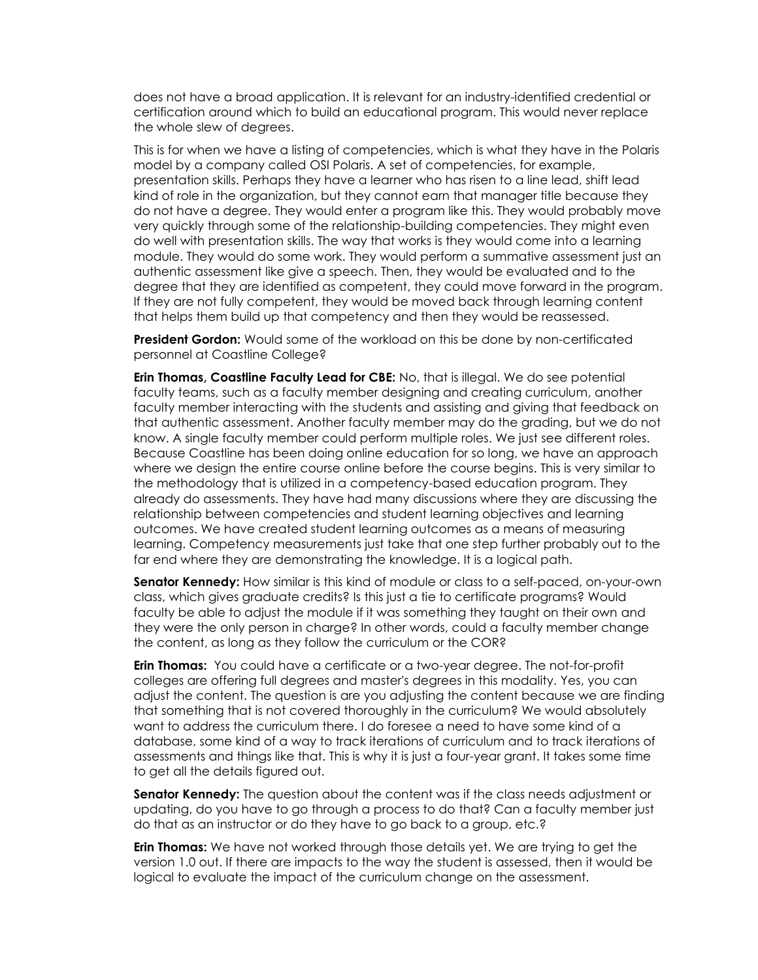does not have a broad application. It is relevant for an industry-identified credential or certification around which to build an educational program. This would never replace the whole slew of degrees.

This is for when we have a listing of competencies, which is what they have in the Polaris model by a company called OSI Polaris. A set of competencies, for example, presentation skills. Perhaps they have a learner who has risen to a line lead, shift lead kind of role in the organization, but they cannot earn that manager title because they do not have a degree. They would enter a program like this. They would probably move very quickly through some of the relationship-building competencies. They might even do well with presentation skills. The way that works is they would come into a learning module. They would do some work. They would perform a summative assessment just an authentic assessment like give a speech. Then, they would be evaluated and to the degree that they are identified as competent, they could move forward in the program. If they are not fully competent, they would be moved back through learning content that helps them build up that competency and then they would be reassessed.

**President Gordon:** Would some of the workload on this be done by non-certificated personnel at Coastline College?

**Erin Thomas, Coastline Faculty Lead for CBE:** No, that is illegal. We do see potential faculty teams, such as a faculty member designing and creating curriculum, another faculty member interacting with the students and assisting and giving that feedback on that authentic assessment. Another faculty member may do the grading, but we do not know. A single faculty member could perform multiple roles. We just see different roles. Because Coastline has been doing online education for so long, we have an approach where we design the entire course online before the course begins. This is very similar to the methodology that is utilized in a competency-based education program. They already do assessments. They have had many discussions where they are discussing the relationship between competencies and student learning objectives and learning outcomes. We have created student learning outcomes as a means of measuring learning. Competency measurements just take that one step further probably out to the far end where they are demonstrating the knowledge. It is a logical path.

**Senator Kennedy:** How similar is this kind of module or class to a self-paced, on-your-own class, which gives graduate credits? Is this just a tie to certificate programs? Would faculty be able to adjust the module if it was something they taught on their own and they were the only person in charge? In other words, could a faculty member change the content, as long as they follow the curriculum or the COR?

**Erin Thomas:** You could have a certificate or a two-year degree. The not-for-profit colleges are offering full degrees and master's degrees in this modality. Yes, you can adjust the content. The question is are you adjusting the content because we are finding that something that is not covered thoroughly in the curriculum? We would absolutely want to address the curriculum there. I do foresee a need to have some kind of a database, some kind of a way to track iterations of curriculum and to track iterations of assessments and things like that. This is why it is just a four-year grant. It takes some time to get all the details figured out.

**Senator Kennedy:** The question about the content was if the class needs adjustment or updating, do you have to go through a process to do that? Can a faculty member just do that as an instructor or do they have to go back to a group, etc.?

**Erin Thomas:** We have not worked through those details yet. We are trying to get the version 1.0 out. If there are impacts to the way the student is assessed, then it would be logical to evaluate the impact of the curriculum change on the assessment.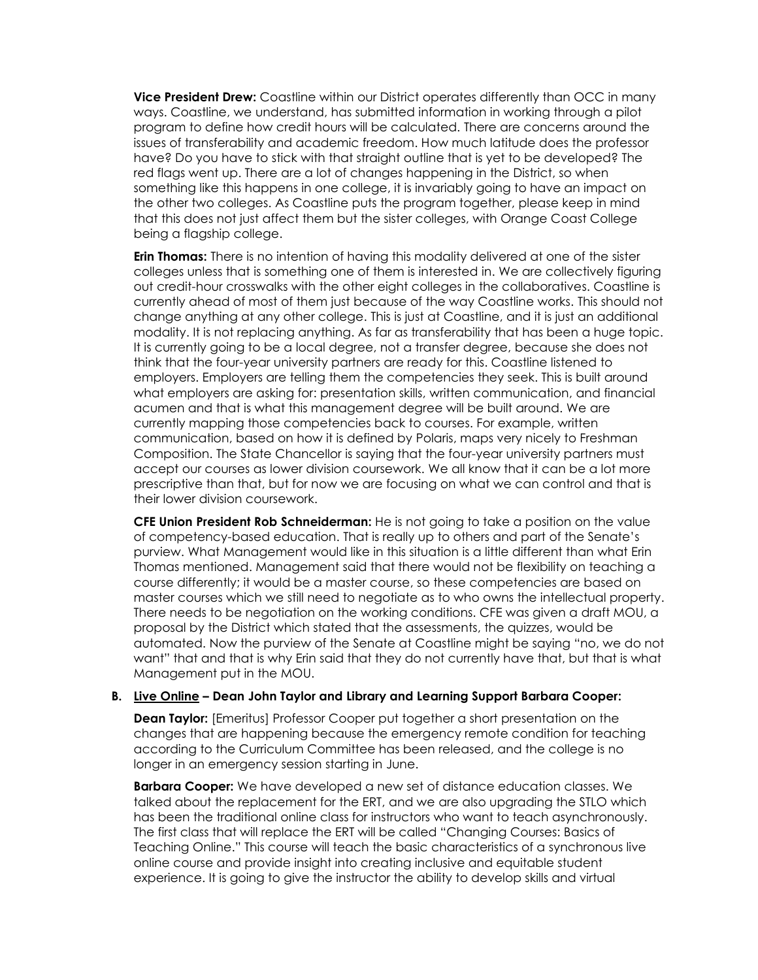**Vice President Drew:** Coastline within our District operates differently than OCC in many ways. Coastline, we understand, has submitted information in working through a pilot program to define how credit hours will be calculated. There are concerns around the issues of transferability and academic freedom. How much latitude does the professor have? Do you have to stick with that straight outline that is yet to be developed? The red flags went up. There are a lot of changes happening in the District, so when something like this happens in one college, it is invariably going to have an impact on the other two colleges. As Coastline puts the program together, please keep in mind that this does not just affect them but the sister colleges, with Orange Coast College being a flagship college.

**Erin Thomas:** There is no intention of having this modality delivered at one of the sister colleges unless that is something one of them is interested in. We are collectively figuring out credit-hour crosswalks with the other eight colleges in the collaboratives. Coastline is currently ahead of most of them just because of the way Coastline works. This should not change anything at any other college. This is just at Coastline, and it is just an additional modality. It is not replacing anything. As far as transferability that has been a huge topic. It is currently going to be a local degree, not a transfer degree, because she does not think that the four-year university partners are ready for this. Coastline listened to employers. Employers are telling them the competencies they seek. This is built around what employers are asking for: presentation skills, written communication, and financial acumen and that is what this management degree will be built around. We are currently mapping those competencies back to courses. For example, written communication, based on how it is defined by Polaris, maps very nicely to Freshman Composition. The State Chancellor is saying that the four-year university partners must accept our courses as lower division coursework. We all know that it can be a lot more prescriptive than that, but for now we are focusing on what we can control and that is their lower division coursework.

**CFE Union President Rob Schneiderman:** He is not going to take a position on the value of competency-based education. That is really up to others and part of the Senate's purview. What Management would like in this situation is a little different than what Erin Thomas mentioned. Management said that there would not be flexibility on teaching a course differently; it would be a master course, so these competencies are based on master courses which we still need to negotiate as to who owns the intellectual property. There needs to be negotiation on the working conditions. CFE was given a draft MOU, a proposal by the District which stated that the assessments, the quizzes, would be automated. Now the purview of the Senate at Coastline might be saying "no, we do not want" that and that is why Erin said that they do not currently have that, but that is what Management put in the MOU.

#### **B. Live Online – Dean John Taylor and Library and Learning Support Barbara Cooper:**

**Dean Taylor:** [Emeritus] Professor Cooper put together a short presentation on the changes that are happening because the emergency remote condition for teaching according to the Curriculum Committee has been released, and the college is no longer in an emergency session starting in June.

**Barbara Cooper:** We have developed a new set of distance education classes. We talked about the replacement for the ERT, and we are also upgrading the STLO which has been the traditional online class for instructors who want to teach asynchronously. The first class that will replace the ERT will be called "Changing Courses: Basics of Teaching Online." This course will teach the basic characteristics of a synchronous live online course and provide insight into creating inclusive and equitable student experience. It is going to give the instructor the ability to develop skills and virtual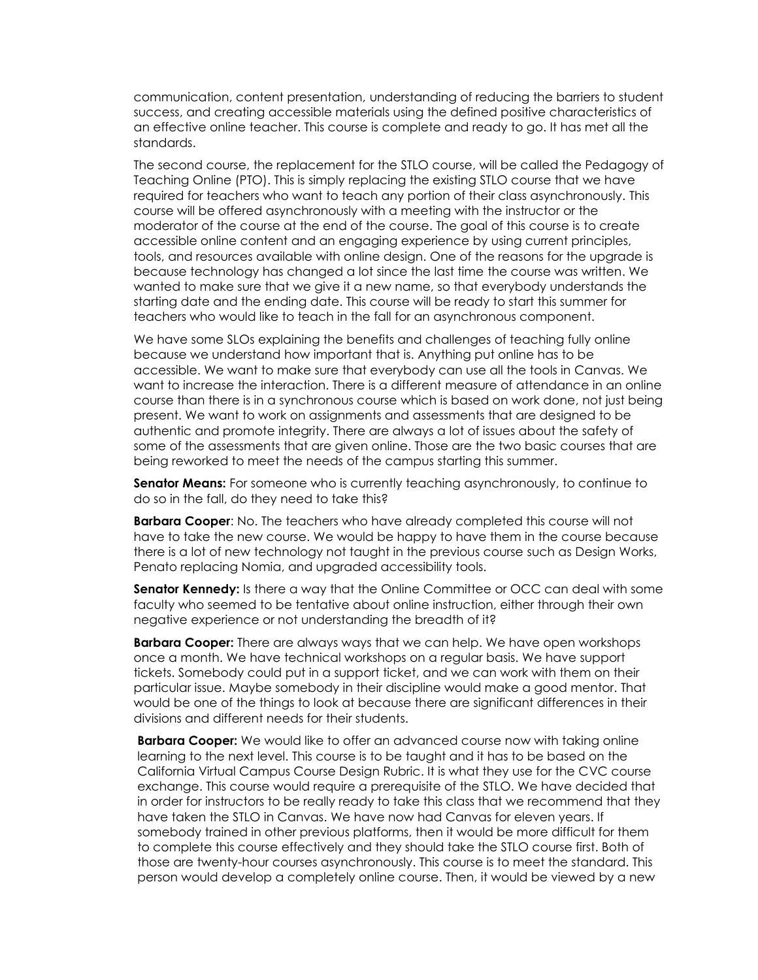communication, content presentation, understanding of reducing the barriers to student success, and creating accessible materials using the defined positive characteristics of an effective online teacher. This course is complete and ready to go. It has met all the standards.

The second course, the replacement for the STLO course, will be called the Pedagogy of Teaching Online (PTO). This is simply replacing the existing STLO course that we have required for teachers who want to teach any portion of their class asynchronously. This course will be offered asynchronously with a meeting with the instructor or the moderator of the course at the end of the course. The goal of this course is to create accessible online content and an engaging experience by using current principles, tools, and resources available with online design. One of the reasons for the upgrade is because technology has changed a lot since the last time the course was written. We wanted to make sure that we give it a new name, so that everybody understands the starting date and the ending date. This course will be ready to start this summer for teachers who would like to teach in the fall for an asynchronous component.

We have some SLOs explaining the benefits and challenges of teaching fully online because we understand how important that is. Anything put online has to be accessible. We want to make sure that everybody can use all the tools in Canvas. We want to increase the interaction. There is a different measure of attendance in an online course than there is in a synchronous course which is based on work done, not just being present. We want to work on assignments and assessments that are designed to be authentic and promote integrity. There are always a lot of issues about the safety of some of the assessments that are given online. Those are the two basic courses that are being reworked to meet the needs of the campus starting this summer.

**Senator Means:** For someone who is currently teaching asynchronously, to continue to do so in the fall, do they need to take this?

**Barbara Cooper**: No. The teachers who have already completed this course will not have to take the new course. We would be happy to have them in the course because there is a lot of new technology not taught in the previous course such as Design Works, Penato replacing Nomia, and upgraded accessibility tools.

**Senator Kennedy:** Is there a way that the Online Committee or OCC can deal with some faculty who seemed to be tentative about online instruction, either through their own negative experience or not understanding the breadth of it?

**Barbara Cooper:** There are always ways that we can help. We have open workshops once a month. We have technical workshops on a regular basis. We have support tickets. Somebody could put in a support ticket, and we can work with them on their particular issue. Maybe somebody in their discipline would make a good mentor. That would be one of the things to look at because there are significant differences in their divisions and different needs for their students.

**Barbara Cooper:** We would like to offer an advanced course now with taking online learning to the next level. This course is to be taught and it has to be based on the California Virtual Campus Course Design Rubric. It is what they use for the CVC course exchange. This course would require a prerequisite of the STLO. We have decided that in order for instructors to be really ready to take this class that we recommend that they have taken the STLO in Canvas. We have now had Canvas for eleven years. If somebody trained in other previous platforms, then it would be more difficult for them to complete this course effectively and they should take the STLO course first. Both of those are twenty-hour courses asynchronously. This course is to meet the standard. This person would develop a completely online course. Then, it would be viewed by a new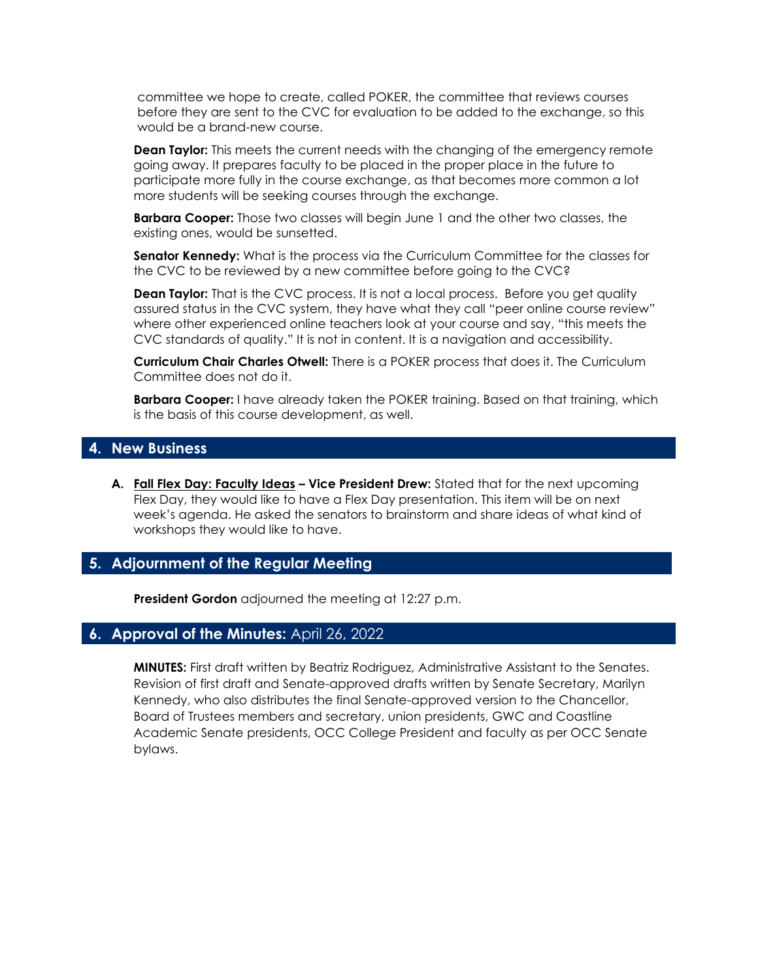committee we hope to create, called POKER, the committee that reviews courses before they are sent to the CVC for evaluation to be added to the exchange, so this would be a brand-new course.

**Dean Taylor:** This meets the current needs with the changing of the emergency remote going away. It prepares faculty to be placed in the proper place in the future to participate more fully in the course exchange, as that becomes more common a lot more students will be seeking courses through the exchange.

**Barbara Cooper:** Those two classes will begin June 1 and the other two classes, the existing ones, would be sunsetted.

**Senator Kennedy:** What is the process via the Curriculum Committee for the classes for the CVC to be reviewed by a new committee before going to the CVC?

**Dean Taylor:** That is the CVC process. It is not a local process. Before you get quality assured status in the CVC system, they have what they call "peer online course review" where other experienced online teachers look at your course and say, "this meets the CVC standards of quality." It is not in content. It is a navigation and accessibility.

**Curriculum Chair Charles Otwell:** There is a POKER process that does it. The Curriculum Committee does not do it.

**Barbara Cooper:** I have already taken the POKER training. Based on that training, which is the basis of this course development, as well.

## **4. New Business**

**A. Fall Flex Day: Faculty Ideas – Vice President Drew:** Stated that for the next upcoming Flex Day, they would like to have a Flex Day presentation. This item will be on next week's agenda. He asked the senators to brainstorm and share ideas of what kind of workshops they would like to have.

### **5. Adjournment of the Regular Meeting**

**President Gordon** adjourned the meeting at 12:27 p.m.

## **6. Approval of the Minutes:** April 26, 2022

**MINUTES:** First draft written by Beatriz Rodriguez, Administrative Assistant to the Senates. Revision of first draft and Senate-approved drafts written by Senate Secretary, Marilyn Kennedy, who also distributes the final Senate-approved version to the Chancellor, Board of Trustees members and secretary, union presidents, GWC and Coastline Academic Senate presidents, OCC College President and faculty as per OCC Senate bylaws.